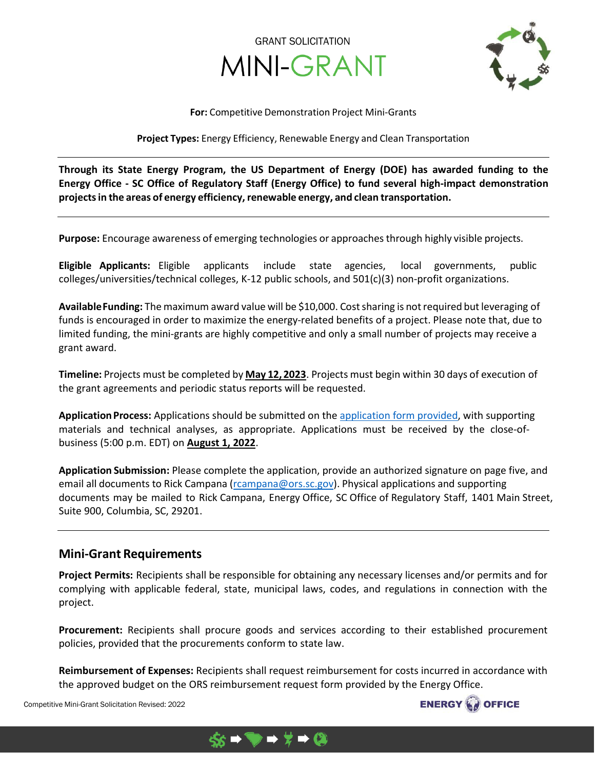



#### **For:** Competitive Demonstration Project Mini-Grants

**Project Types:** Energy Efficiency, Renewable Energy and Clean Transportation

**Through its State Energy Program, the US Department of Energy (DOE) has awarded funding to the Energy Office - SC Office of Regulatory Staff (Energy Office) to fund several high-impact demonstration projectsin the areas of energy efficiency,renewable energy, and clean transportation.**

**Purpose:** Encourage awareness of emerging technologies or approachesthrough highly visible projects.

**Eligible Applicants:** Eligible applicants include state agencies, local governments, public colleges/universities/technical colleges, K-12 public schools, and 501(c)(3) non-profit organizations.

**AvailableFunding:** The maximum award value will be \$10,000. Costsharing is notrequired butleveraging of funds is encouraged in order to maximize the energy-related benefits of a project. Please note that, due to limited funding, the mini-grants are highly competitive and only a small number of projects may receive a grant award.

**Timeline:** Projects must be completed by **May 12, 2023**. Projects must begin within 30 days of execution of the grant agreements and periodic status reports will be requested.

Application Process: Applications should be submitted on the [application form](https://energy.sc.gov/incentives/grants) provided, with supporting materials and technical analyses, as appropriate. Applications must be received by the close-ofbusiness (5:00 p.m. EDT) on **August 1, 2022**.

**Application Submission:** Please complete the application, provide an authorized signature on page five, and email all documents to Rick Campana [\(rcampana@ors.sc.gov\).](mailto:rcampana@ors.sc.gov) Physical applications and supporting documents may be mailed to Rick Campana, Energy Office, SC Office of Regulatory Staff, 1401 Main Street, Suite 900, Columbia, SC, 29201.

### **Mini-Grant Requirements**

**Project Permits:** Recipients shall be responsible for obtaining any necessary licenses and/or permits and for complying with applicable federal, state, municipal laws, codes, and regulations in connection with the project.

**Procurement:** Recipients shall procure goods and services according to their established procurement policies, provided that the procurements conform to state law.

**Reimbursement of Expenses:** Recipients shall request reimbursement for costs incurred in accordance with the approved budget on the ORS reimbursement request form provided by the Energy Office.



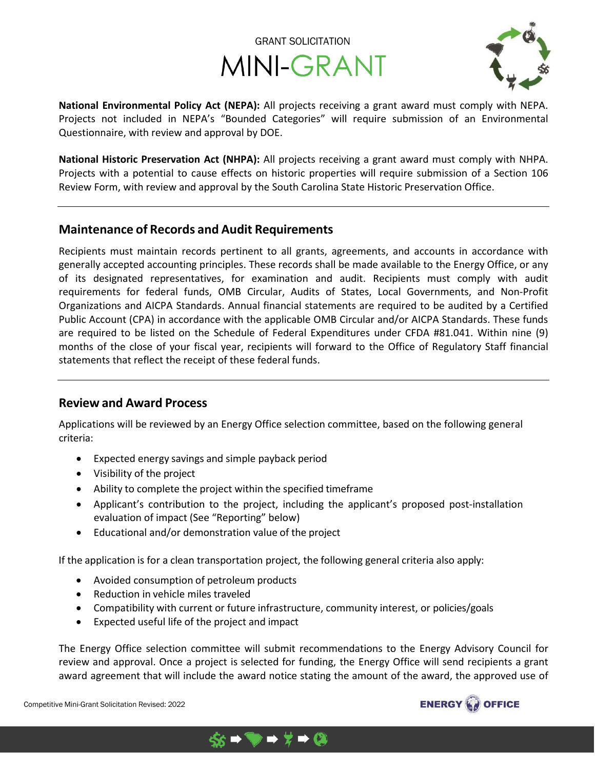



**National Environmental Policy Act (NEPA):** All projects receiving a grant award must comply with NEPA. Projects not included in NEPA's "Bounded Categories" will require submission of an Environmental Questionnaire, with review and approval by DOE.

**National Historic Preservation Act (NHPA):** All projects receiving a grant award must comply with NHPA. Projects with a potential to cause effects on historic properties will require submission of a Section 106 Review Form, with review and approval by the South Carolina State Historic Preservation Office.

### **Maintenance of Records and Audit Requirements**

Recipients must maintain records pertinent to all grants, agreements, and accounts in accordance with generally accepted accounting principles. These records shall be made available to the Energy Office, or any of its designated representatives, for examination and audit. Recipients must comply with audit requirements for federal funds, OMB Circular, Audits of States, Local Governments, and Non-Profit Organizations and AICPA Standards. Annual financial statements are required to be audited by a Certified Public Account (CPA) in accordance with the applicable OMB Circular and/or AICPA Standards. These funds are required to be listed on the Schedule of Federal Expenditures under CFDA #81.041. Within nine (9) months of the close of your fiscal year, recipients will forward to the Office of Regulatory Staff financial statements that reflect the receipt of these federal funds.

### **Review and Award Process**

Applications will be reviewed by an Energy Office selection committee, based on the following general criteria:

- Expected energy savings and simple payback period
- Visibility of the project
- Ability to complete the project within the specified timeframe
- Applicant's contribution to the project, including the applicant's proposed post-installation evaluation of impact (See "Reporting" below)
- Educational and/or demonstration value of the project

If the application is for a clean transportation project, the following general criteria also apply:

 $\rightarrow$   $\rightarrow$   $\sim$ 

- Avoided consumption of petroleum products
- Reduction in vehicle miles traveled
- Compatibility with current or future infrastructure, community interest, or policies/goals
- Expected useful life of the project and impact

The Energy Office selection committee will submit recommendations to the Energy Advisory Council for review and approval. Once a project is selected for funding, the Energy Office will send recipients a grant award agreement that will include the award notice stating the amount of the award, the approved use of